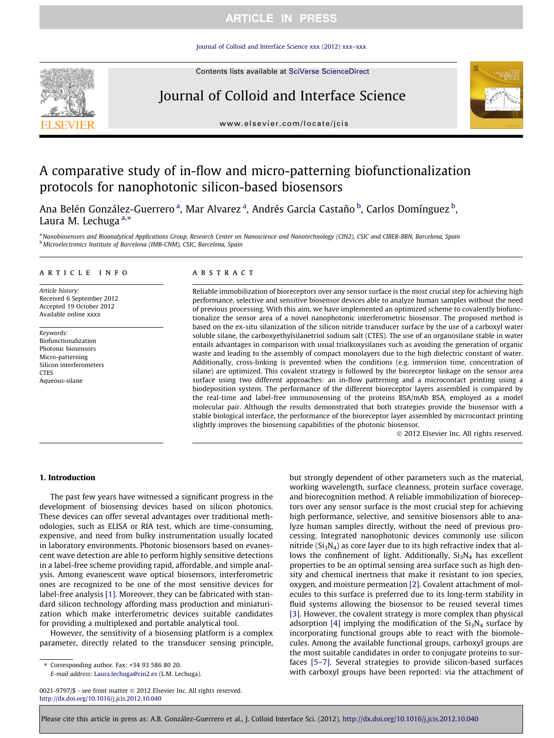## **ARTICLE IN PRESS**

[Journal of Colloid and Interface Science xxx \(2012\) xxx–xxx](http://dx.doi.org/10.1016/j.jcis.2012.10.040)

Contents lists available at [SciVerse ScienceDirect](http://www.sciencedirect.com/science/journal/00219797)



# Journal of Colloid and Interface Science



[www.elsevier.com/locate/jcis](http://www.elsevier.com/locate/jcis)

# A comparative study of in-flow and micro-patterning biofunctionalization protocols for nanophotonic silicon-based biosensors

Ana Belén González-Guerrero <sup>a</sup>, Mar Alvarez <sup>a</sup>, Andrés García Castaño <sup>b</sup>, Carlos Domínguez <sup>b</sup>, Laura M. Lechuga  $a,*$ 

a Nanobiosensors and Bioanalytical Applications Group, Research Center on Nanoscience and Nanotechnology (CIN2), CSIC and CIBER-BBN, Barcelona, Spain <sup>b</sup> Microelectronics Institute of Barcelona (IMB-CNM), CSIC, Barcelona, Spain

#### article info

Article history: Received 6 September 2012 Accepted 19 October 2012 Available online xxxx

Keywords: Biofunctionalization Photonic biosensors Micro-patterning Silicon interferometers **CTES** Aqueous-silane

### ABSTRACT

Reliable immobilization of bioreceptors over any sensor surface is the most crucial step for achieving high performance, selective and sensitive biosensor devices able to analyze human samples without the need of previous processing. With this aim, we have implemented an optimized scheme to covalently biofunctionalize the sensor area of a novel nanophotonic interferometric biosensor. The proposed method is based on the ex-situ silanization of the silicon nitride transducer surface by the use of a carboxyl water soluble silane, the carboxyethylsilanetriol sodium salt (CTES). The use of an organosilane stable in water entails advantages in comparison with usual trialkoxysilanes such as avoiding the generation of organic waste and leading to the assembly of compact monolayers due to the high dielectric constant of water. Additionally, cross-linking is prevented when the conditions (e.g. immersion time, concentration of silane) are optimized. This covalent strategy is followed by the bioreceptor linkage on the sensor area surface using two different approaches: an in-flow patterning and a microcontact printing using a biodeposition system. The performance of the different bioreceptor layers assembled is compared by the real-time and label-free immunosensing of the proteins BSA/mAb BSA, employed as a model molecular pair. Although the results demonstrated that both strategies provide the biosensor with a stable biological interface, the performance of the bioreceptor layer assembled by microcontact printing slightly improves the biosensing capabilities of the photonic biosensor.

- 2012 Elsevier Inc. All rights reserved.

## 1. Introduction

The past few years have witnessed a significant progress in the development of biosensing devices based on silicon photonics. These devices can offer several advantages over traditional methodologies, such as ELISA or RIA test, which are time-consuming, expensive, and need from bulky instrumentation usually located in laboratory environments. Photonic biosensors based on evanescent wave detection are able to perform highly sensitive detections in a label-free scheme providing rapid, affordable, and simple analysis. Among evanescent wave optical biosensors, interferometric ones are recognized to be one of the most sensitive devices for label-free analysis [\[1\]](#page-7-0). Moreover, they can be fabricated with standard silicon technology affording mass production and miniaturization which make interferometric devices suitable candidates for providing a multiplexed and portable analytical tool.

However, the sensitivity of a biosensing platform is a complex parameter, directly related to the transducer sensing principle,

⇑ Corresponding author. Fax: +34 93 586 80 20. E-mail address: [Laura.lechuga@cin2.es](mailto:Laura.lechuga@cin2.es) (L.M. Lechuga). but strongly dependent of other parameters such as the material, working wavelength, surface cleanness, protein surface coverage, and biorecognition method. A reliable immobilization of bioreceptors over any sensor surface is the most crucial step for achieving high performance, selective, and sensitive biosensors able to analyze human samples directly, without the need of previous processing. Integrated nanophotonic devices commonly use silicon nitride  $(Si<sub>3</sub>N<sub>4</sub>)$  as core layer due to its high refractive index that allows the confinement of light. Additionally,  $Si<sub>3</sub>N<sub>4</sub>$  has excellent properties to be an optimal sensing area surface such as high density and chemical inertness that make it resistant to ion species, oxygen, and moisture permeation [\[2\].](#page-7-0) Covalent attachment of molecules to this surface is preferred due to its long-term stability in fluid systems allowing the biosensor to be reused several times [\[3\]](#page-7-0). However, the covalent strategy is more complex than physical adsorption [\[4\]](#page-7-0) implying the modification of the  $Si<sub>3</sub>N<sub>4</sub>$  surface by incorporating functional groups able to react with the biomolecules. Among the available functional groups, carboxyl groups are the most suitable candidates in order to conjugate proteins to surfaces [\[5–7\].](#page-7-0) Several strategies to provide silicon-based surfaces with carboxyl groups have been reported: via the attachment of

<sup>0021-9797/\$ -</sup> see front matter © 2012 Elsevier Inc. All rights reserved. <http://dx.doi.org/10.1016/j.jcis.2012.10.040>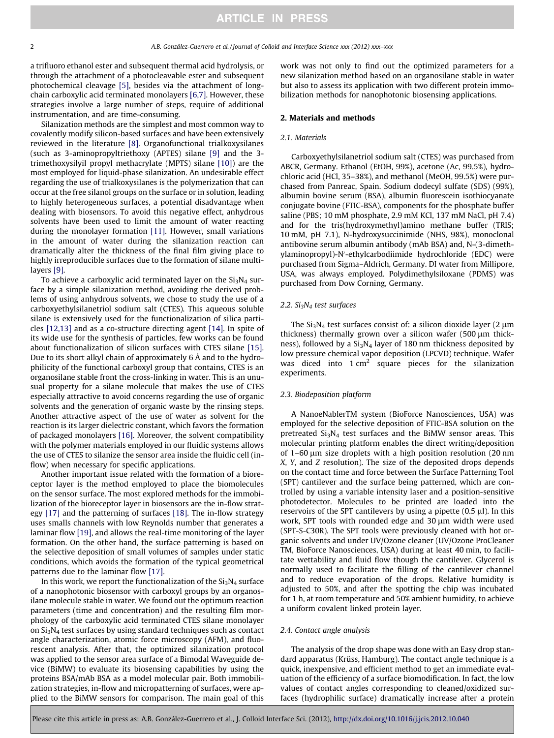a trifluoro ethanol ester and subsequent thermal acid hydrolysis, or through the attachment of a photocleavable ester and subsequent photochemical cleavage [\[5\],](#page-7-0) besides via the attachment of longchain carboxylic acid terminated monolayers [\[6,7\].](#page-7-0) However, these strategies involve a large number of steps, require of additional instrumentation, and are time-consuming.

Silanization methods are the simplest and most common way to covalently modify silicon-based surfaces and have been extensively reviewed in the literature [\[8\].](#page-8-0) Organofunctional trialkoxysilanes (such as 3-aminopropyltriethoxy (APTES) silane [\[9\]](#page-8-0) and the 3 trimethoxysilyil propyl methacrylate (MPTS) silane [\[10\]\)](#page-8-0) are the most employed for liquid-phase silanization. An undesirable effect regarding the use of trialkoxysilanes is the polymerization that can occur at the free silanol groups on the surface or in solution, leading to highly heterogeneous surfaces, a potential disadvantage when dealing with biosensors. To avoid this negative effect, anhydrous solvents have been used to limit the amount of water reacting during the monolayer formation [\[11\].](#page-8-0) However, small variations in the amount of water during the silanization reaction can dramatically alter the thickness of the final film giving place to highly irreproducible surfaces due to the formation of silane multilayers [\[9\]](#page-8-0).

To achieve a carboxylic acid terminated layer on the  $Si<sub>3</sub>N<sub>4</sub>$  surface by a simple silanization method, avoiding the derived problems of using anhydrous solvents, we chose to study the use of a carboxyethylsilanetriol sodium salt (CTES). This aqueous soluble silane is extensively used for the functionalization of silica particles [\[12,13\]](#page-8-0) and as a co-structure directing agent [\[14\].](#page-8-0) In spite of its wide use for the synthesis of particles, few works can be found about functionalization of silicon surfaces with CTES silane [\[15\].](#page-8-0) Due to its short alkyl chain of approximately 6 Å and to the hydrophilicity of the functional carboxyl group that contains, CTES is an organosilane stable front the cross-linking in water. This is an unusual property for a silane molecule that makes the use of CTES especially attractive to avoid concerns regarding the use of organic solvents and the generation of organic waste by the rinsing steps. Another attractive aspect of the use of water as solvent for the reaction is its larger dielectric constant, which favors the formation of packaged monolayers [\[16\].](#page-8-0) Moreover, the solvent compatibility with the polymer materials employed in our fluidic systems allows the use of CTES to silanize the sensor area inside the fluidic cell (inflow) when necessary for specific applications.

Another important issue related with the formation of a bioreceptor layer is the method employed to place the biomolecules on the sensor surface. The most explored methods for the immobilization of the bioreceptor layer in biosensors are the in-flow strategy [\[17\]](#page-8-0) and the patterning of surfaces [\[18\]](#page-8-0). The in-flow strategy uses smalls channels with low Reynolds number that generates a laminar flow [\[19\]](#page-8-0), and allows the real-time monitoring of the layer formation. On the other hand, the surface patterning is based on the selective deposition of small volumes of samples under static conditions, which avoids the formation of the typical geometrical patterns due to the laminar flow [\[17\]](#page-8-0).

In this work, we report the functionalization of the  $Si<sub>3</sub>N<sub>4</sub>$  surface of a nanophotonic biosensor with carboxyl groups by an organosilane molecule stable in water. We found out the optimum reaction parameters (time and concentration) and the resulting film morphology of the carboxylic acid terminated CTES silane monolayer on  $Si<sub>3</sub>N<sub>4</sub>$  test surfaces by using standard techniques such as contact angle characterization, atomic force microscopy (AFM), and fluorescent analysis. After that, the optimized silanization protocol was applied to the sensor area surface of a Bimodal Waveguide device (BiMW) to evaluate its biosensing capabilities by using the proteins BSA/mAb BSA as a model molecular pair. Both immobilization strategies, in-flow and micropatterning of surfaces, were applied to the BiMW sensors for comparison. The main goal of this

work was not only to find out the optimized parameters for a new silanization method based on an organosilane stable in water but also to assess its application with two different protein immobilization methods for nanophotonic biosensing applications.

#### 2. Materials and methods

#### 2.1. Materials

Carboxyethylsilanetriol sodium salt (CTES) was purchased from ABCR, Germany. Ethanol (EtOH, 99%), acetone (Ac, 99.5%), hydrochloric acid (HCl, 35–38%), and methanol (MeOH, 99.5%) were purchased from Panreac, Spain. Sodium dodecyl sulfate (SDS) (99%), albumin bovine serum (BSA), albumin fluorescein isothiocyanate conjugate bovine (FTIC-BSA), components for the phosphate buffer saline (PBS; 10 mM phosphate, 2.9 mM KCl, 137 mM NaCl, pH 7.4) and for the tris(hydroxymethyl)amino methane buffer (TRIS; 10 mM, pH 7.1), N-hydroxysuccinimide (NHS, 98%), monoclonal antibovine serum albumin antibody (mAb BSA) and, N-(3-dimethylaminopropyl)-N'-ethylcarbodiimide hydrochloride (EDC) were purchased from Sigma–Aldrich, Germany. DI water from Millipore, USA, was always employed. Polydimethylsiloxane (PDMS) was purchased from Dow Corning, Germany.

#### 2.2.  $Si<sub>3</sub>N<sub>4</sub>$  test surfaces

The  $Si<sub>3</sub>N<sub>4</sub>$  test surfaces consist of: a silicon dioxide layer (2  $\mu$ m thickness) thermally grown over a silicon wafer (500  $\mu$ m thickness), followed by a  $Si<sub>3</sub>N<sub>4</sub>$  layer of 180 nm thickness deposited by low pressure chemical vapor deposition (LPCVD) technique. Wafer was diced into  $1 \text{ cm}^2$  square pieces for the silanization experiments.

#### 2.3. Biodeposition platform

A NanoeNablerTM system (BioForce Nanosciences, USA) was employed for the selective deposition of FTIC-BSA solution on the pretreated  $Si<sub>3</sub>N<sub>4</sub>$  test surfaces and the BiMW sensor areas. This molecular printing platform enables the direct writing/deposition of  $1-60 \mu m$  size droplets with a high position resolution (20 nm X, Y, and Z resolution). The size of the deposited drops depends on the contact time and force between the Surface Patterning Tool (SPT) cantilever and the surface being patterned, which are controlled by using a variable intensity laser and a position-sensitive photodetector. Molecules to be printed are loaded into the reservoirs of the SPT cantilevers by using a pipette  $(0.5 \mu l)$ . In this work, SPT tools with rounded edge and 30  $\mu$ m width were used (SPT-S-C30R). The SPT tools were previously cleaned with hot organic solvents and under UV/Ozone cleaner (UV/Ozone ProCleaner TM, BioForce Nanosciences, USA) during at least 40 min, to facilitate wettability and fluid flow though the cantilever. Glycerol is normally used to facilitate the filling of the cantilever channel and to reduce evaporation of the drops. Relative humidity is adjusted to 50%, and after the spotting the chip was incubated for 1 h, at room temperature and 50% ambient humidity, to achieve a uniform covalent linked protein layer.

#### 2.4. Contact angle analysis

The analysis of the drop shape was done with an Easy drop standard apparatus (Krüss, Hamburg). The contact angle technique is a quick, inexpensive, and efficient method to get an immediate evaluation of the efficiency of a surface biomodification. In fact, the low values of contact angles corresponding to cleaned/oxidized surfaces (hydrophilic surface) dramatically increase after a protein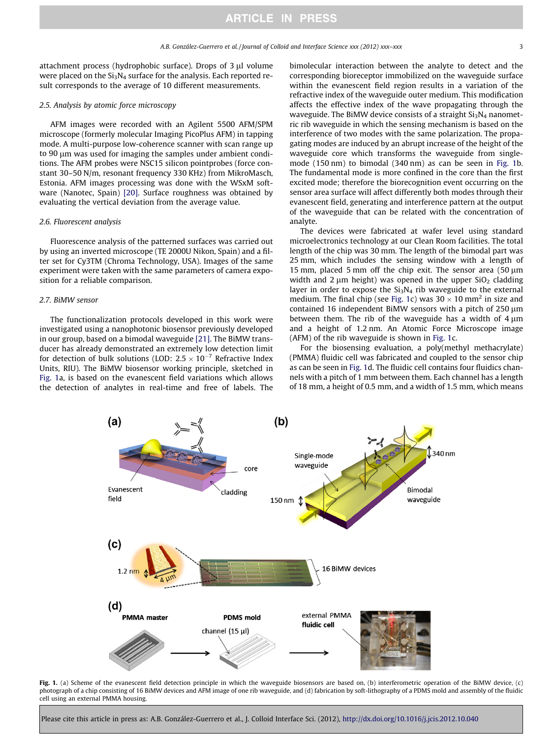<span id="page-2-0"></span>attachment process (hydrophobic surface). Drops of  $3 \mu l$  volume were placed on the  $Si<sub>3</sub>N<sub>4</sub>$  surface for the analysis. Each reported result corresponds to the average of 10 different measurements.

#### 2.5. Analysis by atomic force microscopy

AFM images were recorded with an Agilent 5500 AFM/SPM microscope (formerly molecular Imaging PicoPlus AFM) in tapping mode. A multi-purpose low-coherence scanner with scan range up to 90  $\mu$ m was used for imaging the samples under ambient conditions. The AFM probes were NSC15 silicon pointprobes (force constant 30–50 N/m, resonant frequency 330 KHz) from MikroMasch, Estonia. AFM images processing was done with the WSxM software (Nanotec, Spain) [\[20\]](#page-8-0). Surface roughness was obtained by evaluating the vertical deviation from the average value.

#### 2.6. Fluorescent analysis

Fluorescence analysis of the patterned surfaces was carried out by using an inverted microscope (TE 2000U Nikon, Spain) and a filter set for Cy3TM (Chroma Technology, USA). Images of the same experiment were taken with the same parameters of camera exposition for a reliable comparison.

#### 2.7. BiMW sensor

The functionalization protocols developed in this work were investigated using a nanophotonic biosensor previously developed in our group, based on a bimodal waveguide [\[21\].](#page-8-0) The BiMW transducer has already demonstrated an extremely low detection limit for detection of bulk solutions (LOD:  $2.5 \times 10^{-7}$  Refractive Index Units, RIU). The BiMW biosensor working principle, sketched in Fig. 1a, is based on the evanescent field variations which allows the detection of analytes in real-time and free of labels. The bimolecular interaction between the analyte to detect and the corresponding bioreceptor immobilized on the waveguide surface within the evanescent field region results in a variation of the refractive index of the waveguide outer medium. This modification affects the effective index of the wave propagating through the waveguide. The BiMW device consists of a straight  $Si<sub>3</sub>N<sub>4</sub>$  nanometric rib waveguide in which the sensing mechanism is based on the interference of two modes with the same polarization. The propagating modes are induced by an abrupt increase of the height of the waveguide core which transforms the waveguide from singlemode (150 nm) to bimodal (340 nm) as can be seen in Fig. 1b. The fundamental mode is more confined in the core than the first excited mode; therefore the biorecognition event occurring on the sensor area surface will affect differently both modes through their evanescent field, generating and interference pattern at the output of the waveguide that can be related with the concentration of analyte.

The devices were fabricated at wafer level using standard microelectronics technology at our Clean Room facilities. The total length of the chip was 30 mm. The length of the bimodal part was 25 mm, which includes the sensing window with a length of 15 mm, placed 5 mm off the chip exit. The sensor area  $(50 \mu m)$ width and 2  $\mu$ m height) was opened in the upper SiO<sub>2</sub> cladding layer in order to expose the  $Si<sub>3</sub>N<sub>4</sub>$  rib waveguide to the external medium. The final chip (see Fig. 1c) was 30  $\times$  10 mm<sup>2</sup> in size and contained 16 independent BiMW sensors with a pitch of  $250 \mu m$ between them. The rib of the waveguide has a width of  $4 \mu m$ and a height of 1.2 nm. An Atomic Force Microscope image (AFM) of the rib waveguide is shown in Fig. 1c.

For the biosensing evaluation, a poly(methyl methacrylate) (PMMA) fluidic cell was fabricated and coupled to the sensor chip as can be seen in Fig. 1d. The fluidic cell contains four fluidics channels with a pitch of 1 mm between them. Each channel has a length of 18 mm, a height of 0.5 mm, and a width of 1.5 mm, which means



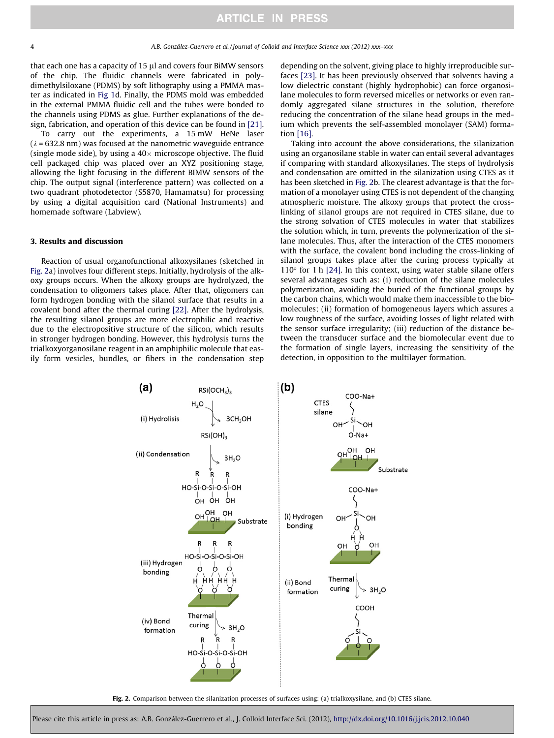that each one has a capacity of 15 µl and covers four BiMW sensors of the chip. The fluidic channels were fabricated in polydimethylsiloxane (PDMS) by soft lithography using a PMMA master as indicated in [Fig 1d](#page-2-0). Finally, the PDMS mold was embedded in the external PMMA fluidic cell and the tubes were bonded to the channels using PDMS as glue. Further explanations of the design, fabrication, and operation of this device can be found in [\[21\].](#page-8-0)

To carry out the experiments, a 15 mW HeNe laser  $(\lambda = 632.8 \text{ nm})$  was focused at the nanometric waveguide entrance (single mode side), by using a 40 $\times$  microscope objective. The fluid cell packaged chip was placed over an XYZ positioning stage, allowing the light focusing in the different BIMW sensors of the chip. The output signal (interference pattern) was collected on a two quadrant photodetector (S5870, Hamamatsu) for processing by using a digital acquisition card (National Instruments) and homemade software (Labview).

#### 3. Results and discussion

Reaction of usual organofunctional alkoxysilanes (sketched in Fig. 2a) involves four different steps. Initially, hydrolysis of the alkoxy groups occurs. When the alkoxy groups are hydrolyzed, the condensation to oligomers takes place. After that, oligomers can form hydrogen bonding with the silanol surface that results in a covalent bond after the thermal curing [\[22\].](#page-8-0) After the hydrolysis, the resulting silanol groups are more electrophilic and reactive due to the electropositive structure of the silicon, which results in stronger hydrogen bonding. However, this hydrolysis turns the trialkoxyorganosilane reagent in an amphiphilic molecule that easily form vesicles, bundles, or fibers in the condensation step depending on the solvent, giving place to highly irreproducible surfaces [\[23\].](#page-8-0) It has been previously observed that solvents having a low dielectric constant (highly hydrophobic) can force organosilane molecules to form reversed micelles or networks or even randomly aggregated silane structures in the solution, therefore reducing the concentration of the silane head groups in the medium which prevents the self-assembled monolayer (SAM) formation [\[16\].](#page-8-0)

Taking into account the above considerations, the silanization using an organosilane stable in water can entail several advantages if comparing with standard alkoxysilanes. The steps of hydrolysis and condensation are omitted in the silanization using CTES as it has been sketched in Fig. 2b. The clearest advantage is that the formation of a monolayer using CTES is not dependent of the changing atmospheric moisture. The alkoxy groups that protect the crosslinking of silanol groups are not required in CTES silane, due to the strong solvation of CTES molecules in water that stabilizes the solution which, in turn, prevents the polymerization of the silane molecules. Thus, after the interaction of the CTES monomers with the surface, the covalent bond including the cross-linking of silanol groups takes place after the curing process typically at  $110^{\circ}$  for 1 h [\[24\]](#page-8-0). In this context, using water stable silane offers several advantages such as: (i) reduction of the silane molecules polymerization, avoiding the buried of the functional groups by the carbon chains, which would make them inaccessible to the biomolecules; (ii) formation of homogeneous layers which assures a low roughness of the surface, avoiding losses of light related with the sensor surface irregularity; (iii) reduction of the distance between the transducer surface and the biomolecular event due to the formation of single layers, increasing the sensitivity of the detection, in opposition to the multilayer formation.



Fig. 2. Comparison between the silanization processes of surfaces using: (a) trialkoxysilane, and (b) CTES silane.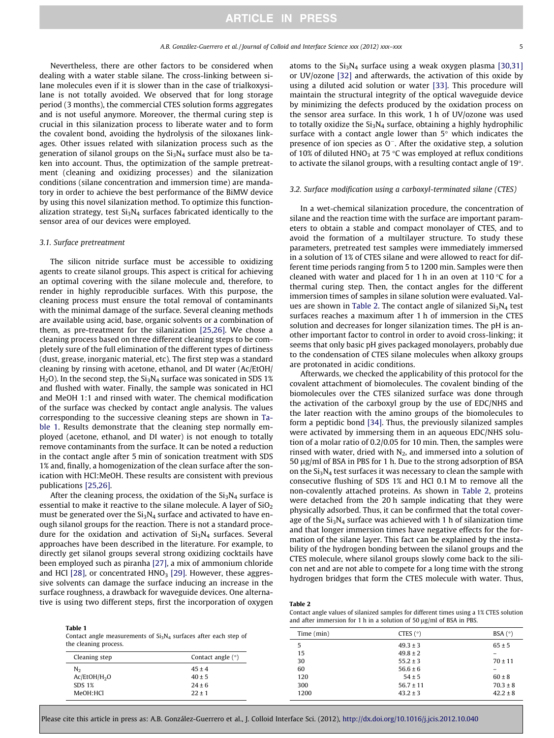Nevertheless, there are other factors to be considered when dealing with a water stable silane. The cross-linking between silane molecules even if it is slower than in the case of trialkoxysilane is not totally avoided. We observed that for long storage period (3 months), the commercial CTES solution forms aggregates and is not useful anymore. Moreover, the thermal curing step is crucial in this silanization process to liberate water and to form the covalent bond, avoiding the hydrolysis of the siloxanes linkages. Other issues related with silanization process such as the generation of silanol groups on the  $Si<sub>3</sub>N<sub>4</sub>$  surface must also be taken into account. Thus, the optimization of the sample pretreatment (cleaning and oxidizing processes) and the silanization conditions (silane concentration and immersion time) are mandatory in order to achieve the best performance of the BiMW device by using this novel silanization method. To optimize this functionalization strategy, test  $Si<sub>3</sub>N<sub>4</sub>$  surfaces fabricated identically to the sensor area of our devices were employed.

#### 3.1. Surface pretreatment

Table 1

The silicon nitride surface must be accessible to oxidizing agents to create silanol groups. This aspect is critical for achieving an optimal covering with the silane molecule and, therefore, to render in highly reproducible surfaces. With this purpose, the cleaning process must ensure the total removal of contaminants with the minimal damage of the surface. Several cleaning methods are available using acid, base, organic solvents or a combination of them, as pre-treatment for the silanization [\[25,26\].](#page-8-0) We chose a cleaning process based on three different cleaning steps to be completely sure of the full elimination of the different types of dirtiness (dust, grease, inorganic material, etc). The first step was a standard cleaning by rinsing with acetone, ethanol, and DI water (Ac/EtOH/  $H<sub>2</sub>O$ ). In the second step, the Si<sub>3</sub>N<sub>4</sub> surface was sonicated in SDS 1% and flushed with water. Finally, the sample was sonicated in HCl and MeOH 1:1 and rinsed with water. The chemical modification of the surface was checked by contact angle analysis. The values corresponding to the successive cleaning steps are shown in Table 1. Results demonstrate that the cleaning step normally employed (acetone, ethanol, and DI water) is not enough to totally remove contaminants from the surface. It can be noted a reduction in the contact angle after 5 min of sonication treatment with SDS 1% and, finally, a homogenization of the clean surface after the sonication with HCl:MeOH. These results are consistent with previous publications [\[25,26\]](#page-8-0).

After the cleaning process, the oxidation of the  $Si<sub>3</sub>N<sub>4</sub>$  surface is essential to make it reactive to the silane molecule. A layer of  $SiO<sub>2</sub>$ must be generated over the  $Si<sub>3</sub>N<sub>4</sub>$  surface and activated to have enough silanol groups for the reaction. There is not a standard procedure for the oxidation and activation of  $Si<sub>3</sub>N<sub>4</sub>$  surfaces. Several approaches have been described in the literature. For example, to directly get silanol groups several strong oxidizing cocktails have been employed such as piranha [\[27\]](#page-8-0), a mix of ammonium chloride and HCl  $[28]$ , or concentrated  $HNO<sub>3</sub>$   $[29]$ . However, these aggressive solvents can damage the surface inducing an increase in the surface roughness, a drawback for waveguide devices. One alternative is using two different steps, first the incorporation of oxygen atoms to the  $Si<sub>3</sub>N<sub>4</sub>$  surface using a weak oxygen plasma [\[30,31\]](#page-8-0) or UV/ozone [\[32\]](#page-8-0) and afterwards, the activation of this oxide by using a diluted acid solution or water [\[33\].](#page-8-0) This procedure will maintain the structural integrity of the optical waveguide device by minimizing the defects produced by the oxidation process on the sensor area surface. In this work, 1 h of UV/ozone was used to totally oxidize the  $Si<sub>3</sub>N<sub>4</sub>$  surface, obtaining a highly hydrophilic surface with a contact angle lower than  $5^\circ$  which indicates the presence of ion species as  $O^-$ . After the oxidative step, a solution of 10% of diluted HNO<sub>3</sub> at 75 °C was employed at reflux conditions to activate the silanol groups, with a resulting contact angle of  $19^\circ$ .

#### 3.2. Surface modification using a carboxyl-terminated silane (CTES)

In a wet-chemical silanization procedure, the concentration of silane and the reaction time with the surface are important parameters to obtain a stable and compact monolayer of CTES, and to avoid the formation of a multilayer structure. To study these parameters, pretreated test samples were immediately immersed in a solution of 1% of CTES silane and were allowed to react for different time periods ranging from 5 to 1200 min. Samples were then cleaned with water and placed for 1 h in an oven at  $110 \degree C$  for a thermal curing step. Then, the contact angles for the different immersion times of samples in silane solution were evaluated. Values are shown in Table 2. The contact angle of silanized  $Si<sub>3</sub>N<sub>4</sub>$  test surfaces reaches a maximum after 1 h of immersion in the CTES solution and decreases for longer silanization times. The pH is another important factor to control in order to avoid cross-linking; it seems that only basic pH gives packaged monolayers, probably due to the condensation of CTES silane molecules when alkoxy groups are protonated in acidic conditions.

Afterwards, we checked the applicability of this protocol for the covalent attachment of biomolecules. The covalent binding of the biomolecules over the CTES silanized surface was done through the activation of the carboxyl group by the use of EDC/NHS and the later reaction with the amino groups of the biomolecules to form a peptidic bond [\[34\].](#page-8-0) Thus, the previously silanized samples were activated by immersing them in an aqueous EDC/NHS solution of a molar ratio of 0.2/0.05 for 10 min. Then, the samples were rinsed with water, dried with  $N_2$ , and immersed into a solution of 50 µg/ml of BSA in PBS for 1 h. Due to the strong adsorption of BSA on the  $Si<sub>3</sub>N<sub>4</sub>$  test surfaces it was necessary to clean the sample with consecutive flushing of SDS 1% and HCl 0.1 M to remove all the non-covalently attached proteins. As shown in Table 2, proteins were detached from the 20 h sample indicating that they were physically adsorbed. Thus, it can be confirmed that the total coverage of the  $Si<sub>3</sub>N<sub>4</sub>$  surface was achieved with 1 h of silanization time and that longer immersion times have negative effects for the formation of the silane layer. This fact can be explained by the instability of the hydrogen bonding between the silanol groups and the CTES molecule, where silanol groups slowly come back to the silicon net and are not able to compete for a long time with the strong hydrogen bridges that form the CTES molecule with water. Thus,

#### Table 2

Contact angle values of silanized samples for different times using a 1% CTES solution and after immersion for 1 h in a solution of 50  $\mu$ g/ml of BSA in PBS.

| $\cdots$<br>Contact angle measurements of $Si3N4$ surfaces after each step of<br>the cleaning process. |                     | Time (min) | CTES $(°)$    | BSA $(°)$         |
|--------------------------------------------------------------------------------------------------------|---------------------|------------|---------------|-------------------|
|                                                                                                        |                     |            | $49.3 \pm 3$  | $65 \pm 5$        |
| Cleaning step                                                                                          | Contact angle $(°)$ | 15         | $49.8 \pm 2$  | $\qquad \qquad -$ |
|                                                                                                        |                     | 30         | $55.2 \pm 3$  | $70 \pm 11$       |
| N <sub>2</sub>                                                                                         | $45 \pm 4$          | 60         | $56.6 \pm 6$  |                   |
| Ac/EtOH/H <sub>2</sub> O                                                                               | $40 \pm 5$          | 120        | $54 \pm 5$    | $60 \pm 8$        |
| SDS 1%                                                                                                 | $24 \pm 6$          | 300        | $56.7 \pm 11$ | $70.3 \pm 8$      |
| MeOH:HCl                                                                                               | $22 \pm 1$          | 1200       | $43.2 \pm 3$  | $42.2 \pm 8$      |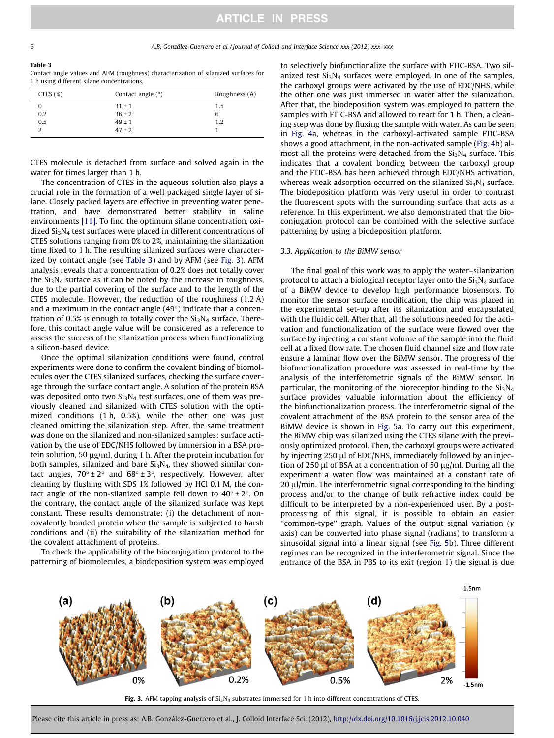# **ARTICLE IN PRESS**

#### Table 3

Contact angle values and AFM (roughness) characterization of silanized surfaces for 1 h using different silane concentrations.

| CTES(%) | Contact angle $(°)$ | Roughness $(\AA)$ |
|---------|---------------------|-------------------|
|         | $31 \pm 1$          | 1.5               |
| 0.2     | $36 \pm 2$          | 6                 |
| 0.5     | $49 \pm 1$          | 1.2               |
|         | $47 \pm 2$          |                   |

CTES molecule is detached from surface and solved again in the water for times larger than 1 h.

The concentration of CTES in the aqueous solution also plays a crucial role in the formation of a well packaged single layer of silane. Closely packed layers are effective in preventing water penetration, and have demonstrated better stability in saline environments [\[11\].](#page-8-0) To find the optimum silane concentration, oxidized Si3N4 test surfaces were placed in different concentrations of CTES solutions ranging from 0% to 2%, maintaining the silanization time fixed to 1 h. The resulting silanized surfaces were characterized by contact angle (see Table 3) and by AFM (see Fig. 3). AFM analysis reveals that a concentration of 0.2% does not totally cover the  $Si<sub>3</sub>N<sub>4</sub>$  surface as it can be noted by the increase in roughness, due to the partial covering of the surface and to the length of the CTES molecule. However, the reduction of the roughness (1.2 Å) and a maximum in the contact angle  $(49°)$  indicate that a concentration of 0.5% is enough to totally cover the  $Si<sub>3</sub>N<sub>4</sub>$  surface. Therefore, this contact angle value will be considered as a reference to assess the success of the silanization process when functionalizing a silicon-based device.

Once the optimal silanization conditions were found, control experiments were done to confirm the covalent binding of biomolecules over the CTES silanized surfaces, checking the surface coverage through the surface contact angle. A solution of the protein BSA was deposited onto two  $Si<sub>3</sub>N<sub>4</sub>$  test surfaces, one of them was previously cleaned and silanized with CTES solution with the optimized conditions (1 h, 0.5%), while the other one was just cleaned omitting the silanization step. After, the same treatment was done on the silanized and non-silanized samples: surface activation by the use of EDC/NHS followed by immersion in a BSA protein solution, 50  $\mu$ g/ml, during 1 h. After the protein incubation for both samples, silanized and bare  $Si<sub>3</sub>N<sub>4</sub>$ , they showed similar contact angles,  $70^{\circ} \pm 2^{\circ}$  and  $68^{\circ} \pm 3^{\circ}$ , respectively. However, after cleaning by flushing with SDS 1% followed by HCl 0.1 M, the contact angle of the non-silanized sample fell down to  $40^{\circ} \pm 2^{\circ}$ . On the contrary, the contact angle of the silanized surface was kept constant. These results demonstrate: (i) the detachment of noncovalently bonded protein when the sample is subjected to harsh conditions and (ii) the suitability of the silanization method for the covalent attachment of proteins.

To check the applicability of the bioconjugation protocol to the patterning of biomolecules, a biodeposition system was employed

to selectively biofunctionalize the surface with FTIC-BSA. Two silanized test  $Si<sub>3</sub>N<sub>4</sub>$  surfaces were employed. In one of the samples, the carboxyl groups were activated by the use of EDC/NHS, while the other one was just immersed in water after the silanization. After that, the biodeposition system was employed to pattern the samples with FTIC-BSA and allowed to react for 1 h. Then, a cleaning step was done by fluxing the sample with water. As can be seen in [Fig. 4](#page-6-0)a, whereas in the carboxyl-activated sample FTIC-BSA shows a good attachment, in the non-activated sample ([Fig. 4b](#page-6-0)) almost all the proteins were detached from the  $Si<sub>3</sub>N<sub>4</sub>$  surface. This indicates that a covalent bonding between the carboxyl group and the FTIC-BSA has been achieved through EDC/NHS activation, whereas weak adsorption occurred on the silanized  $Si<sub>3</sub>N<sub>4</sub>$  surface. The biodeposition platform was very useful in order to contrast the fluorescent spots with the surrounding surface that acts as a reference. In this experiment, we also demonstrated that the bioconjugation protocol can be combined with the selective surface patterning by using a biodeposition platform.

#### 3.3. Application to the BiMW sensor

The final goal of this work was to apply the water–silanization protocol to attach a biological receptor layer onto the  $Si<sub>3</sub>N<sub>4</sub>$  surface of a BiMW device to develop high performance biosensors. To monitor the sensor surface modification, the chip was placed in the experimental set-up after its silanization and encapsulated with the fluidic cell. After that, all the solutions needed for the activation and functionalization of the surface were flowed over the surface by injecting a constant volume of the sample into the fluid cell at a fixed flow rate. The chosen fluid channel size and flow rate ensure a laminar flow over the BiMW sensor. The progress of the biofunctionalization procedure was assessed in real-time by the analysis of the interferometric signals of the BiMW sensor. In particular, the monitoring of the bioreceptor binding to the  $Si<sub>3</sub>N<sub>4</sub>$ surface provides valuable information about the efficiency of the biofunctionalization process. The interferometric signal of the covalent attachment of the BSA protein to the sensor area of the BiMW device is shown in [Fig. 5a](#page-6-0). To carry out this experiment, the BiMW chip was silanized using the CTES silane with the previously optimized protocol. Then, the carboxyl groups were activated by injecting 250 µl of EDC/NHS, immediately followed by an injection of 250  $\mu$ l of BSA at a concentration of 50  $\mu$ g/ml. During all the experiment a water flow was maintained at a constant rate of  $20 \mu$ l/min. The interferometric signal corresponding to the binding process and/or to the change of bulk refractive index could be difficult to be interpreted by a non-experienced user. By a postprocessing of this signal, it is possible to obtain an easier ''common-type'' graph. Values of the output signal variation (y axis) can be converted into phase signal (radians) to transform a sinusoidal signal into a linear signal (see [Fig. 5b](#page-6-0)). Three different regimes can be recognized in the interferometric signal. Since the entrance of the BSA in PBS to its exit (region 1) the signal is due



Fig. 3. AFM tapping analysis of  $Si<sub>3</sub>N<sub>4</sub>$  substrates immersed for 1 h into different concentrations of CTES.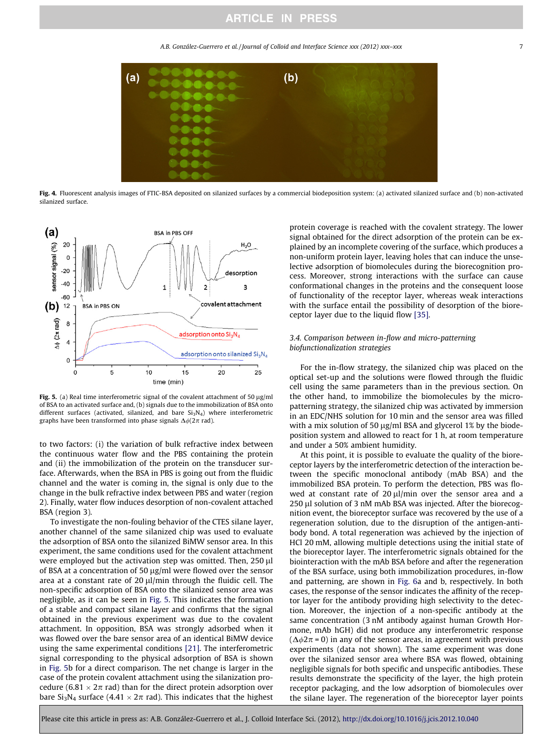A.B. González-Guerrero et al. / Journal of Colloid and Interface Science xxx (2012) xxx–xxx

<span id="page-6-0"></span>

Fig. 4. Fluorescent analysis images of FTIC-BSA deposited on silanized surfaces by a commercial biodeposition system: (a) activated silanized surface and (b) non-activated silanized surface.



Fig. 5. (a) Real time interferometric signal of the covalent attachment of 50  $\mu$ g/ml of BSA to an activated surface and, (b) signals due to the immobilization of BSA onto different surfaces (activated, silanized, and bare Si<sub>3</sub>N<sub>4</sub>) where interferometric graphs have been transformed into phase signals  $\Delta\phi(2\pi \text{ rad})$ .

to two factors: (i) the variation of bulk refractive index between the continuous water flow and the PBS containing the protein and (ii) the immobilization of the protein on the transducer surface. Afterwards, when the BSA in PBS is going out from the fluidic channel and the water is coming in, the signal is only due to the change in the bulk refractive index between PBS and water (region 2). Finally, water flow induces desorption of non-covalent attached BSA (region 3).

To investigate the non-fouling behavior of the CTES silane layer, another channel of the same silanized chip was used to evaluate the adsorption of BSA onto the silanized BiMW sensor area. In this experiment, the same conditions used for the covalent attachment were employed but the activation step was omitted. Then, 250 µl of BSA at a concentration of 50  $\mu$ g/ml were flowed over the sensor area at a constant rate of 20  $\mu$ l/min through the fluidic cell. The non-specific adsorption of BSA onto the silanized sensor area was negligible, as it can be seen in Fig. 5. This indicates the formation of a stable and compact silane layer and confirms that the signal obtained in the previous experiment was due to the covalent attachment. In opposition, BSA was strongly adsorbed when it was flowed over the bare sensor area of an identical BiMW device using the same experimental conditions [\[21\].](#page-8-0) The interferometric signal corresponding to the physical adsorption of BSA is shown in Fig. 5b for a direct comparison. The net change is larger in the case of the protein covalent attachment using the silanization procedure (6.81  $\times$  2 $\pi$  rad) than for the direct protein adsorption over bare Si<sub>3</sub>N<sub>4</sub> surface (4.41  $\times$  2 $\pi$  rad). This indicates that the highest

protein coverage is reached with the covalent strategy. The lower signal obtained for the direct adsorption of the protein can be explained by an incomplete covering of the surface, which produces a non-uniform protein layer, leaving holes that can induce the unselective adsorption of biomolecules during the biorecognition process. Moreover, strong interactions with the surface can cause conformational changes in the proteins and the consequent loose of functionality of the receptor layer, whereas weak interactions with the surface entail the possibility of desorption of the bioreceptor layer due to the liquid flow [\[35\].](#page-8-0)

### 3.4. Comparison between in-flow and micro-patterning biofunctionalization strategies

For the in-flow strategy, the silanized chip was placed on the optical set-up and the solutions were flowed through the fluidic cell using the same parameters than in the previous section. On the other hand, to immobilize the biomolecules by the micropatterning strategy, the silanized chip was activated by immersion in an EDC/NHS solution for 10 min and the sensor area was filled with a mix solution of 50  $\mu$ g/ml BSA and glycerol 1% by the biodeposition system and allowed to react for 1 h, at room temperature and under a 50% ambient humidity.

At this point, it is possible to evaluate the quality of the bioreceptor layers by the interferometric detection of the interaction between the specific monoclonal antibody (mAb BSA) and the immobilized BSA protein. To perform the detection, PBS was flowed at constant rate of  $20 \mu l/min$  over the sensor area and a 250 µl solution of 3 nM mAb BSA was injected. After the biorecognition event, the bioreceptor surface was recovered by the use of a regeneration solution, due to the disruption of the antigen-antibody bond. A total regeneration was achieved by the injection of HCl 20 mM, allowing multiple detections using the initial state of the bioreceptor layer. The interferometric signals obtained for the biointeraction with the mAb BSA before and after the regeneration of the BSA surface, using both immobilization procedures, in-flow and patterning, are shown in [Fig. 6a](#page-7-0) and b, respectively. In both cases, the response of the sensor indicates the affinity of the receptor layer for the antibody providing high selectivity to the detection. Moreover, the injection of a non-specific antibody at the same concentration (3 nM antibody against human Growth Hormone, mAb hGH) did not produce any interferometric response  $(\Delta \phi 2\pi = 0)$  in any of the sensor areas, in agreement with previous experiments (data not shown). The same experiment was done over the silanized sensor area where BSA was flowed, obtaining negligible signals for both specific and unspecific antibodies. These results demonstrate the specificity of the layer, the high protein receptor packaging, and the low adsorption of biomolecules over the silane layer. The regeneration of the bioreceptor layer points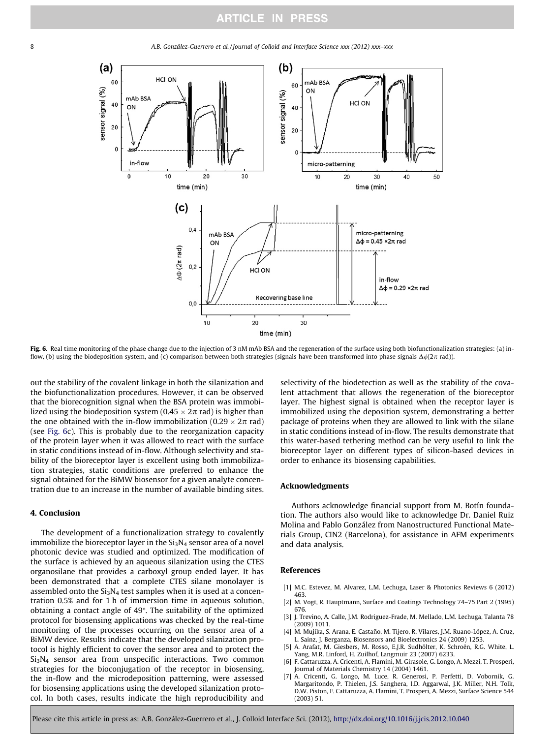<span id="page-7-0"></span>

Fig. 6. Real time monitoring of the phase change due to the injection of 3 nM mAb BSA and the regeneration of the surface using both biofunctionalization strategies: (a) inflow, (b) using the biodeposition system, and (c) comparison between both strategies (signals have been transformed into phase signals  $\Delta\phi(2\pi \text{ rad})$ ).

out the stability of the covalent linkage in both the silanization and the biofunctionalization procedures. However, it can be observed that the biorecognition signal when the BSA protein was immobilized using the biodeposition system (0.45  $\times$  2 $\pi$  rad) is higher than the one obtained with the in-flow immobilization (0.29  $\times$  2 $\pi$  rad) (see Fig. 6c). This is probably due to the reorganization capacity of the protein layer when it was allowed to react with the surface in static conditions instead of in-flow. Although selectivity and stability of the bioreceptor layer is excellent using both immobilization strategies, static conditions are preferred to enhance the signal obtained for the BiMW biosensor for a given analyte concentration due to an increase in the number of available binding sites.

#### 4. Conclusion

The development of a functionalization strategy to covalently immobilize the bioreceptor layer in the  $Si<sub>3</sub>N<sub>4</sub>$  sensor area of a novel photonic device was studied and optimized. The modification of the surface is achieved by an aqueous silanization using the CTES organosilane that provides a carboxyl group ended layer. It has been demonstrated that a complete CTES silane monolayer is assembled onto the  $Si<sub>3</sub>N<sub>4</sub>$  test samples when it is used at a concentration 0.5% and for 1 h of immersion time in aqueous solution, obtaining a contact angle of 49. The suitability of the optimized protocol for biosensing applications was checked by the real-time monitoring of the processes occurring on the sensor area of a BiMW device. Results indicate that the developed silanization protocol is highly efficient to cover the sensor area and to protect the Si3N4 sensor area from unspecific interactions. Two common strategies for the bioconjugation of the receptor in biosensing, the in-flow and the microdeposition patterning, were assessed for biosensing applications using the developed silanization protocol. In both cases, results indicate the high reproducibility and

selectivity of the biodetection as well as the stability of the covalent attachment that allows the regeneration of the bioreceptor layer. The highest signal is obtained when the receptor layer is immobilized using the deposition system, demonstrating a better package of proteins when they are allowed to link with the silane in static conditions instead of in-flow. The results demonstrate that this water-based tethering method can be very useful to link the bioreceptor layer on different types of silicon-based devices in order to enhance its biosensing capabilities.

#### Acknowledgments

Authors acknowledge financial support from M. Botín foundation. The authors also would like to acknowledge Dr. Daniel Ruiz Molina and Pablo González from Nanostructured Functional Materials Group, CIN2 (Barcelona), for assistance in AFM experiments and data analysis.

#### References

- [1] M.C. Estevez, M. Alvarez, L.M. Lechuga, Laser & Photonics Reviews 6 (2012) 463.
- [2] M. Vogt, R. Hauptmann, Surface and Coatings Technology 74–75 Part 2 (1995) 676.
- [3] J. Trevino, A. Calle, J.M. Rodriguez-Frade, M. Mellado, L.M. Lechuga, Talanta 78 (2009) 1011.
- [4] M. Mujika, S. Arana, E. Castaño, M. Tijero, R. Vilares, J.M. Ruano-López, A. Cruz, L. Sainz, J. Berganza, Biosensors and Bioelectronics 24 (2009) 1253.
- [5] A. Arafat, M. Giesbers, M. Rosso, E.J.R. Sudhölter, K. Schroën, R.G. White, L. Yang, M.R. Linford, H. Zuilhof, Langmuir 23 (2007) 6233.
- [6] F. Cattaruzza, A. Cricenti, A. Flamini, M. Girasole, G. Longo, A. Mezzi, T. Prosperi, Journal of Materials Chemistry 14 (2004) 1461.
- [7] A. Cricenti, G. Longo, M. Luce, R. Generosi, P. Perfetti, D. Vobornik, G. Margaritondo, P. Thielen, J.S. Sanghera, I.D. Aggarwal, J.K. Miller, N.H. Tolk, D.W. Piston, F. Cattaruzza, A. Flamini, T. Prosperi, A. Mezzi, Surface Science 544 (2003) 51.